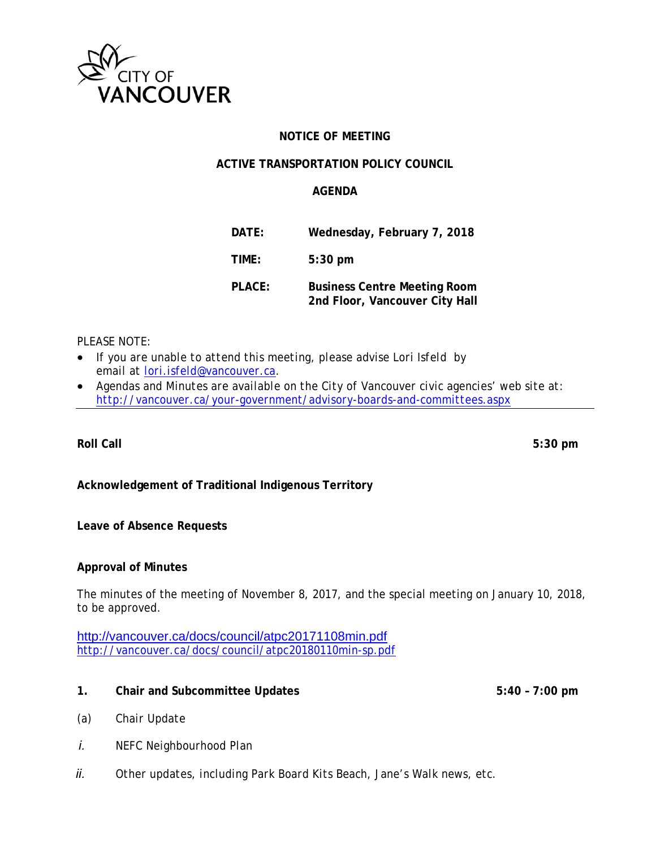

# **NOTICE OF MEETING**

## **ACTIVE TRANSPORTATION POLICY COUNCIL**

## **AGENDA**

| DATE:  | Wednesday, February 7, 2018                                           |
|--------|-----------------------------------------------------------------------|
| TIME:  | $5:30$ pm                                                             |
| PLACE: | <b>Business Centre Meeting Room</b><br>2nd Floor, Vancouver City Hall |

# *PLEASE NOTE:*

- *If you are unable to attend this meeting, please advise Lori Isfeld by email at lori.isfeld@vancouver.ca.*
- *Agendas and Minutes are available on the City of Vancouver civic agencies' web site at: http://vancouver.ca/your-government/advisory-boards-and-committees.aspx*

**Roll Call 5:30 pm** 

# **Acknowledgement of Traditional Indigenous Territory**

### **Leave of Absence Requests**

### **Approval of Minutes**

The minutes of the meeting of November 8, 2017, and the special meeting on January 10, 2018, to be approved.

http://vancouver.ca/docs/council/atpc20171108min.pdf http://vancouver.ca/docs/council/atpc20180110min-sp.pdf

- **1. Chair and Subcommittee Updates 5:40 7:00 pm**
- 

- *(a) Chair Update*
- *i. NEFC Neighbourhood Plan*
- *ii. Other updates, including Park Board Kits Beach, Jane's Walk news, etc.*